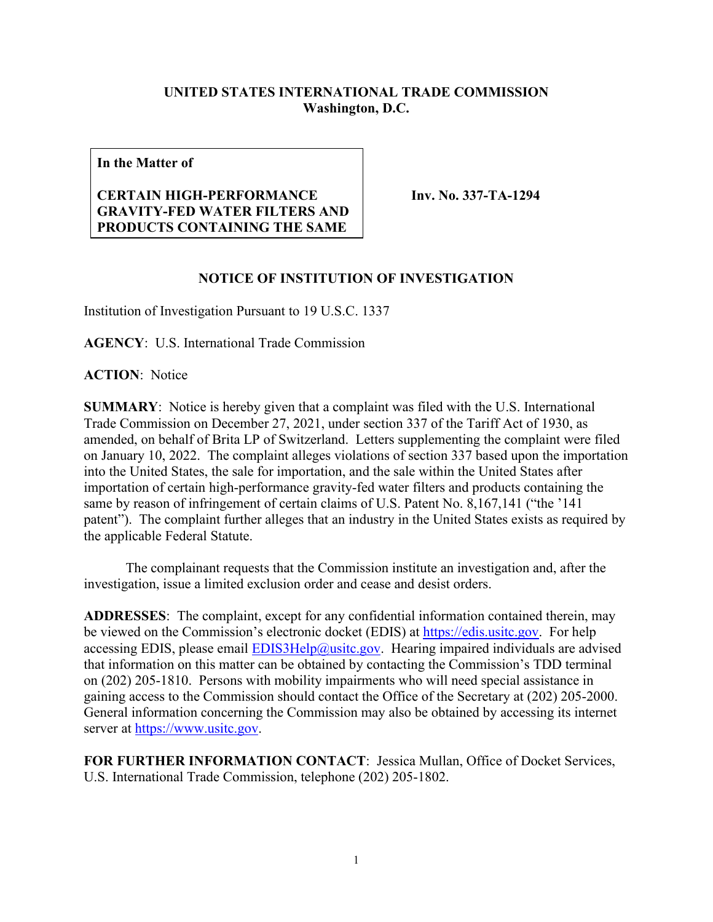## **UNITED STATES INTERNATIONAL TRADE COMMISSION Washington, D.C.**

**In the Matter of**

## **CERTAIN HIGH-PERFORMANCE GRAVITY-FED WATER FILTERS AND PRODUCTS CONTAINING THE SAME**

**Inv. No. 337-TA-1294**

## **NOTICE OF INSTITUTION OF INVESTIGATION**

Institution of Investigation Pursuant to 19 U.S.C. 1337

**AGENCY**: U.S. International Trade Commission

**ACTION**: Notice

**SUMMARY**: Notice is hereby given that a complaint was filed with the U.S. International Trade Commission on December 27, 2021, under section 337 of the Tariff Act of 1930, as amended, on behalf of Brita LP of Switzerland. Letters supplementing the complaint were filed on January 10, 2022. The complaint alleges violations of section 337 based upon the importation into the United States, the sale for importation, and the sale within the United States after importation of certain high-performance gravity-fed water filters and products containing the same by reason of infringement of certain claims of U.S. Patent No. 8,167,141 ("the '141 patent"). The complaint further alleges that an industry in the United States exists as required by the applicable Federal Statute.

The complainant requests that the Commission institute an investigation and, after the investigation, issue a limited exclusion order and cease and desist orders.

**ADDRESSES**: The complaint, except for any confidential information contained therein, may be viewed on the Commission's electronic docket (EDIS) at [https://edis.usitc.gov.](https://edis.usitc.gov/) For help accessing EDIS, please email  $EDIS3Help@usite.gov$ . Hearing impaired individuals are advised that information on this matter can be obtained by contacting the Commission's TDD terminal on (202) 205-1810. Persons with mobility impairments who will need special assistance in gaining access to the Commission should contact the Office of the Secretary at (202) 205-2000. General information concerning the Commission may also be obtained by accessing its internet server at [https://www.usitc.gov.](https://www.usitc.gov/)

**FOR FURTHER INFORMATION CONTACT**: Jessica Mullan, Office of Docket Services, U.S. International Trade Commission, telephone (202) 205-1802.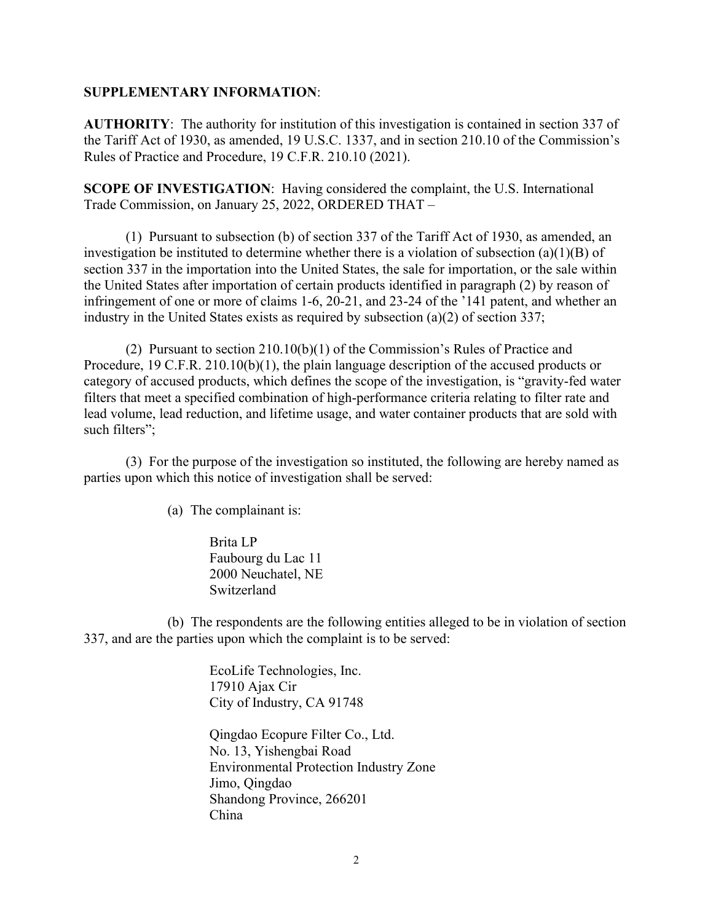## **SUPPLEMENTARY INFORMATION**:

**AUTHORITY**: The authority for institution of this investigation is contained in section 337 of the Tariff Act of 1930, as amended, 19 U.S.C. 1337, and in section 210.10 of the Commission's Rules of Practice and Procedure, 19 C.F.R. 210.10 (2021).

**SCOPE OF INVESTIGATION**: Having considered the complaint, the U.S. International Trade Commission, on January 25, 2022, ORDERED THAT –

(1) Pursuant to subsection (b) of section 337 of the Tariff Act of 1930, as amended, an investigation be instituted to determine whether there is a violation of subsection (a)(1)(B) of section 337 in the importation into the United States, the sale for importation, or the sale within the United States after importation of certain products identified in paragraph (2) by reason of infringement of one or more of claims 1-6, 20-21, and 23-24 of the '141 patent, and whether an industry in the United States exists as required by subsection (a)(2) of section 337;

(2) Pursuant to section 210.10(b)(1) of the Commission's Rules of Practice and Procedure, 19 C.F.R. 210.10(b)(1), the plain language description of the accused products or category of accused products, which defines the scope of the investigation, is "gravity-fed water filters that meet a specified combination of high-performance criteria relating to filter rate and lead volume, lead reduction, and lifetime usage, and water container products that are sold with such filters";

(3) For the purpose of the investigation so instituted, the following are hereby named as parties upon which this notice of investigation shall be served:

(a) The complainant is:

Brita LP Faubourg du Lac 11 2000 Neuchatel, NE Switzerland

(b) The respondents are the following entities alleged to be in violation of section 337, and are the parties upon which the complaint is to be served:

> EcoLife Technologies, Inc. 17910 Ajax Cir City of Industry, CA 91748

Qingdao Ecopure Filter Co., Ltd. No. 13, Yishengbai Road Environmental Protection Industry Zone Jimo, Qingdao Shandong Province, 266201 China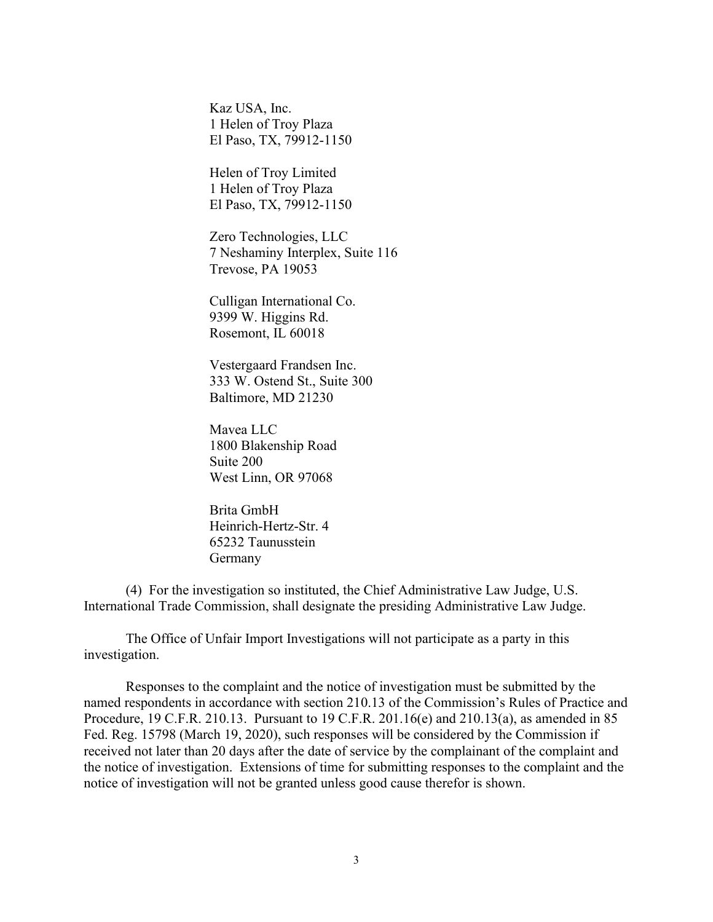Kaz USA, Inc. 1 Helen of Troy Plaza El Paso, TX, 79912-1150

Helen of Troy Limited 1 Helen of Troy Plaza El Paso, TX, 79912-1150

Zero Technologies, LLC 7 Neshaminy Interplex, Suite 116 Trevose, PA 19053

Culligan International Co. 9399 W. Higgins Rd. Rosemont, IL 60018

Vestergaard Frandsen Inc. 333 W. Ostend St., Suite 300 Baltimore, MD 21230

Mavea LLC 1800 Blakenship Road Suite 200 West Linn, OR 97068

Brita GmbH Heinrich-Hertz-Str. 4 65232 Taunusstein Germany

(4) For the investigation so instituted, the Chief Administrative Law Judge, U.S. International Trade Commission, shall designate the presiding Administrative Law Judge.

The Office of Unfair Import Investigations will not participate as a party in this investigation.

Responses to the complaint and the notice of investigation must be submitted by the named respondents in accordance with section 210.13 of the Commission's Rules of Practice and Procedure, 19 C.F.R. 210.13. Pursuant to 19 C.F.R. 201.16(e) and 210.13(a), as amended in 85 Fed. Reg. 15798 (March 19, 2020), such responses will be considered by the Commission if received not later than 20 days after the date of service by the complainant of the complaint and the notice of investigation. Extensions of time for submitting responses to the complaint and the notice of investigation will not be granted unless good cause therefor is shown.